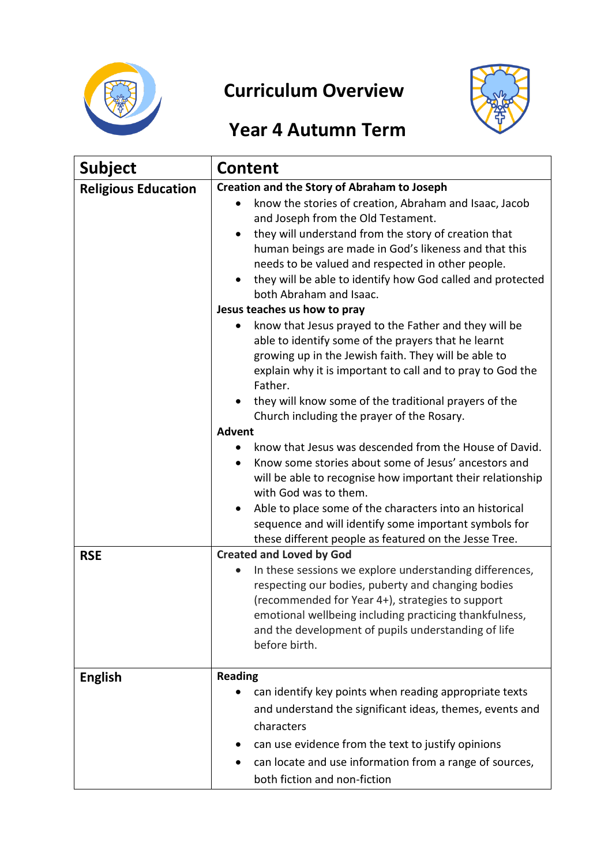

# **Curriculum Overview**



## **Year 4 Autumn Term**

| <b>Subject</b>             | <b>Content</b>                                                                                                                                                                                                                                                                                                                                                                                                                                                                                                                                                                                                                                                                                                                                                                                                                                                                                                                                                                                                                                                                                 |
|----------------------------|------------------------------------------------------------------------------------------------------------------------------------------------------------------------------------------------------------------------------------------------------------------------------------------------------------------------------------------------------------------------------------------------------------------------------------------------------------------------------------------------------------------------------------------------------------------------------------------------------------------------------------------------------------------------------------------------------------------------------------------------------------------------------------------------------------------------------------------------------------------------------------------------------------------------------------------------------------------------------------------------------------------------------------------------------------------------------------------------|
| <b>Religious Education</b> | <b>Creation and the Story of Abraham to Joseph</b><br>know the stories of creation, Abraham and Isaac, Jacob<br>and Joseph from the Old Testament.<br>they will understand from the story of creation that<br>human beings are made in God's likeness and that this<br>needs to be valued and respected in other people.<br>they will be able to identify how God called and protected<br>both Abraham and Isaac.<br>Jesus teaches us how to pray<br>know that Jesus prayed to the Father and they will be<br>able to identify some of the prayers that he learnt<br>growing up in the Jewish faith. They will be able to<br>explain why it is important to call and to pray to God the<br>Father.<br>they will know some of the traditional prayers of the<br>Church including the prayer of the Rosary.<br><b>Advent</b><br>know that Jesus was descended from the House of David.<br>Know some stories about some of Jesus' ancestors and<br>will be able to recognise how important their relationship<br>with God was to them.<br>Able to place some of the characters into an historical |
|                            | sequence and will identify some important symbols for<br>these different people as featured on the Jesse Tree.                                                                                                                                                                                                                                                                                                                                                                                                                                                                                                                                                                                                                                                                                                                                                                                                                                                                                                                                                                                 |
| <b>RSE</b>                 | <b>Created and Loved by God</b><br>In these sessions we explore understanding differences,<br>respecting our bodies, puberty and changing bodies<br>(recommended for Year 4+), strategies to support<br>emotional wellbeing including practicing thankfulness,<br>and the development of pupils understanding of life<br>before birth.                                                                                                                                                                                                                                                                                                                                                                                                                                                                                                                                                                                                                                                                                                                                                         |
| <b>English</b>             | <b>Reading</b><br>can identify key points when reading appropriate texts<br>and understand the significant ideas, themes, events and<br>characters<br>can use evidence from the text to justify opinions<br>can locate and use information from a range of sources,<br>both fiction and non-fiction                                                                                                                                                                                                                                                                                                                                                                                                                                                                                                                                                                                                                                                                                                                                                                                            |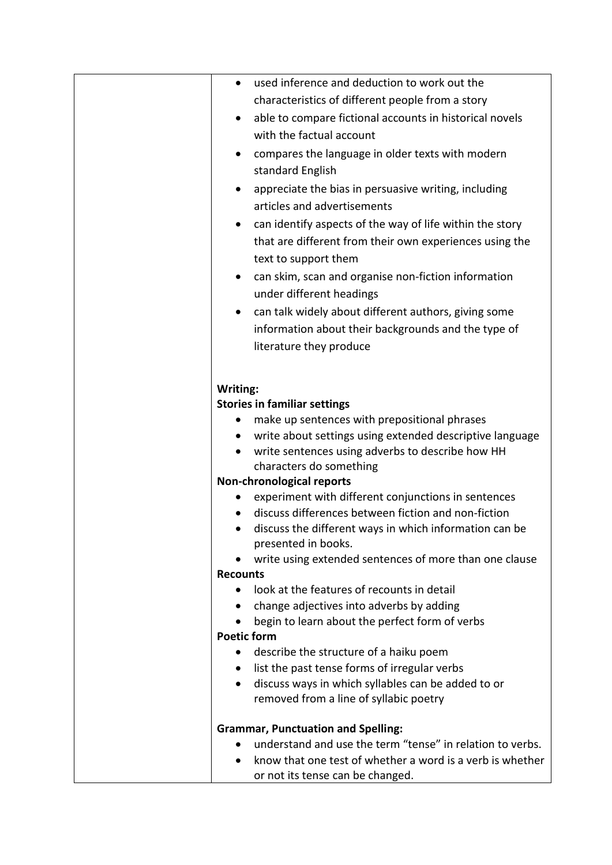|          | used inference and deduction to work out the<br>$\bullet$                                                                    |
|----------|------------------------------------------------------------------------------------------------------------------------------|
|          | characteristics of different people from a story                                                                             |
|          | able to compare fictional accounts in historical novels<br>$\bullet$                                                         |
|          | with the factual account                                                                                                     |
|          | compares the language in older texts with modern<br>$\bullet$                                                                |
|          | standard English                                                                                                             |
|          | appreciate the bias in persuasive writing, including                                                                         |
|          | articles and advertisements                                                                                                  |
|          | can identify aspects of the way of life within the story                                                                     |
|          | that are different from their own experiences using the                                                                      |
|          | text to support them                                                                                                         |
|          | can skim, scan and organise non-fiction information<br>$\bullet$                                                             |
|          | under different headings                                                                                                     |
|          | can talk widely about different authors, giving some<br>$\bullet$                                                            |
|          | information about their backgrounds and the type of                                                                          |
|          | literature they produce                                                                                                      |
|          |                                                                                                                              |
|          |                                                                                                                              |
| Writing: | <b>Stories in familiar settings</b>                                                                                          |
|          | make up sentences with prepositional phrases                                                                                 |
|          | write about settings using extended descriptive language<br>$\bullet$                                                        |
|          | write sentences using adverbs to describe how HH                                                                             |
|          | characters do something                                                                                                      |
|          | <b>Non-chronological reports</b>                                                                                             |
|          | experiment with different conjunctions in sentences                                                                          |
|          | discuss differences between fiction and non-fiction                                                                          |
|          | discuss the different ways in which information can be<br>$\bullet$                                                          |
|          | presented in books.                                                                                                          |
|          | write using extended sentences of more than one clause                                                                       |
|          | <b>Recounts</b>                                                                                                              |
|          | look at the features of recounts in detail<br>$\bullet$                                                                      |
|          | change adjectives into adverbs by adding                                                                                     |
|          | begin to learn about the perfect form of verbs                                                                               |
|          | <b>Poetic form</b>                                                                                                           |
|          | describe the structure of a haiku poem                                                                                       |
|          | list the past tense forms of irregular verbs<br>$\bullet$<br>discuss ways in which syllables can be added to or<br>$\bullet$ |
|          | removed from a line of syllabic poetry                                                                                       |
|          |                                                                                                                              |
|          | <b>Grammar, Punctuation and Spelling:</b>                                                                                    |
|          | understand and use the term "tense" in relation to verbs.                                                                    |
|          | know that one test of whether a word is a verb is whether                                                                    |
|          | or not its tense can be changed.                                                                                             |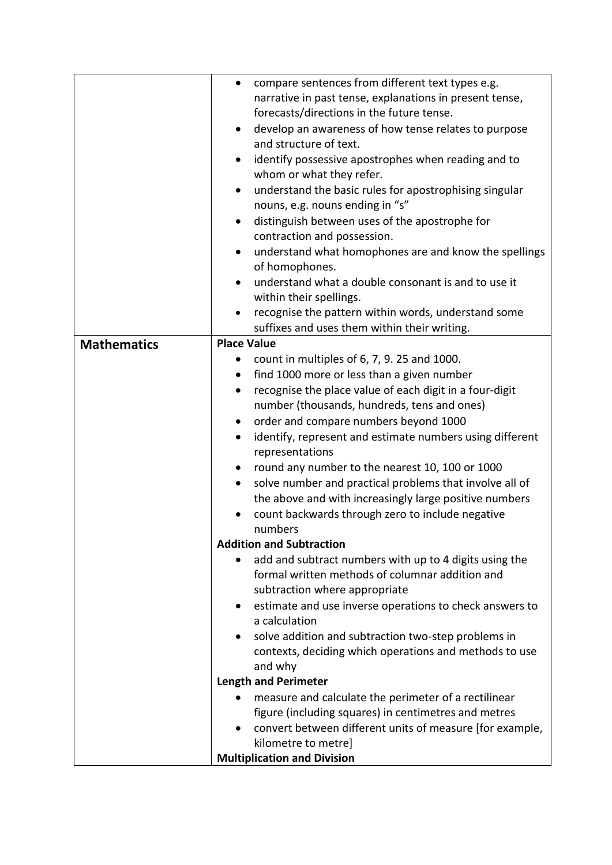|                    | compare sentences from different text types e.g.<br>٠                 |
|--------------------|-----------------------------------------------------------------------|
|                    | narrative in past tense, explanations in present tense,               |
|                    | forecasts/directions in the future tense.                             |
|                    | develop an awareness of how tense relates to purpose<br>$\bullet$     |
|                    | and structure of text.                                                |
|                    | identify possessive apostrophes when reading and to                   |
|                    | whom or what they refer.                                              |
|                    | understand the basic rules for apostrophising singular                |
|                    | nouns, e.g. nouns ending in "s"                                       |
|                    | distinguish between uses of the apostrophe for                        |
|                    | contraction and possession.                                           |
|                    | understand what homophones are and know the spellings                 |
|                    | of homophones.                                                        |
|                    | understand what a double consonant is and to use it                   |
|                    | within their spellings.                                               |
|                    | recognise the pattern within words, understand some                   |
|                    | suffixes and uses them within their writing.                          |
| <b>Mathematics</b> | <b>Place Value</b>                                                    |
|                    | count in multiples of 6, 7, 9. 25 and 1000.                           |
|                    | find 1000 more or less than a given number<br>$\bullet$               |
|                    | recognise the place value of each digit in a four-digit<br>$\bullet$  |
|                    | number (thousands, hundreds, tens and ones)                           |
|                    | order and compare numbers beyond 1000<br>$\bullet$                    |
|                    | identify, represent and estimate numbers using different<br>$\bullet$ |
|                    | representations                                                       |
|                    | round any number to the nearest 10, 100 or 1000<br>$\bullet$          |
|                    | solve number and practical problems that involve all of               |
|                    | the above and with increasingly large positive numbers                |
|                    | count backwards through zero to include negative                      |
|                    | numbers                                                               |
|                    | <b>Addition and Subtraction</b>                                       |
|                    | add and subtract numbers with up to 4 digits using the                |
|                    | formal written methods of columnar addition and                       |
|                    | subtraction where appropriate                                         |
|                    | estimate and use inverse operations to check answers to               |
|                    | a calculation                                                         |
|                    | solve addition and subtraction two-step problems in                   |
|                    | contexts, deciding which operations and methods to use                |
|                    | and why                                                               |
|                    | <b>Length and Perimeter</b>                                           |
|                    | measure and calculate the perimeter of a rectilinear                  |
|                    | figure (including squares) in centimetres and metres                  |
|                    | convert between different units of measure [for example,              |
|                    | kilometre to metre]                                                   |
|                    | <b>Multiplication and Division</b>                                    |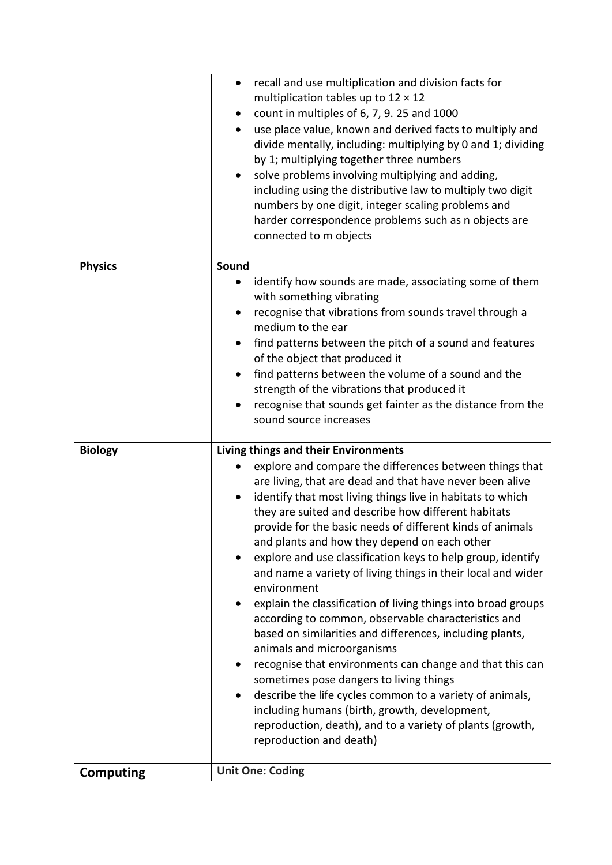|                  | recall and use multiplication and division facts for<br>$\bullet$<br>multiplication tables up to $12 \times 12$<br>count in multiples of 6, 7, 9. 25 and 1000<br>use place value, known and derived facts to multiply and<br>divide mentally, including: multiplying by 0 and 1; dividing<br>by 1; multiplying together three numbers<br>solve problems involving multiplying and adding,<br>including using the distributive law to multiply two digit<br>numbers by one digit, integer scaling problems and<br>harder correspondence problems such as n objects are                                                                                                                                                                                                                                                                                                                                                                                                                                                                                                     |
|------------------|---------------------------------------------------------------------------------------------------------------------------------------------------------------------------------------------------------------------------------------------------------------------------------------------------------------------------------------------------------------------------------------------------------------------------------------------------------------------------------------------------------------------------------------------------------------------------------------------------------------------------------------------------------------------------------------------------------------------------------------------------------------------------------------------------------------------------------------------------------------------------------------------------------------------------------------------------------------------------------------------------------------------------------------------------------------------------|
|                  | connected to m objects                                                                                                                                                                                                                                                                                                                                                                                                                                                                                                                                                                                                                                                                                                                                                                                                                                                                                                                                                                                                                                                    |
| <b>Physics</b>   | Sound<br>identify how sounds are made, associating some of them<br>with something vibrating<br>recognise that vibrations from sounds travel through a<br>medium to the ear<br>find patterns between the pitch of a sound and features<br>of the object that produced it<br>find patterns between the volume of a sound and the<br>strength of the vibrations that produced it<br>recognise that sounds get fainter as the distance from the<br>sound source increases                                                                                                                                                                                                                                                                                                                                                                                                                                                                                                                                                                                                     |
| <b>Biology</b>   | Living things and their Environments<br>explore and compare the differences between things that<br>are living, that are dead and that have never been alive<br>identify that most living things live in habitats to which<br>they are suited and describe how different habitats<br>provide for the basic needs of different kinds of animals<br>and plants and how they depend on each other<br>explore and use classification keys to help group, identify<br>and name a variety of living things in their local and wider<br>environment<br>explain the classification of living things into broad groups<br>according to common, observable characteristics and<br>based on similarities and differences, including plants,<br>animals and microorganisms<br>recognise that environments can change and that this can<br>sometimes pose dangers to living things<br>describe the life cycles common to a variety of animals,<br>including humans (birth, growth, development,<br>reproduction, death), and to a variety of plants (growth,<br>reproduction and death) |
| <b>Computing</b> | <b>Unit One: Coding</b>                                                                                                                                                                                                                                                                                                                                                                                                                                                                                                                                                                                                                                                                                                                                                                                                                                                                                                                                                                                                                                                   |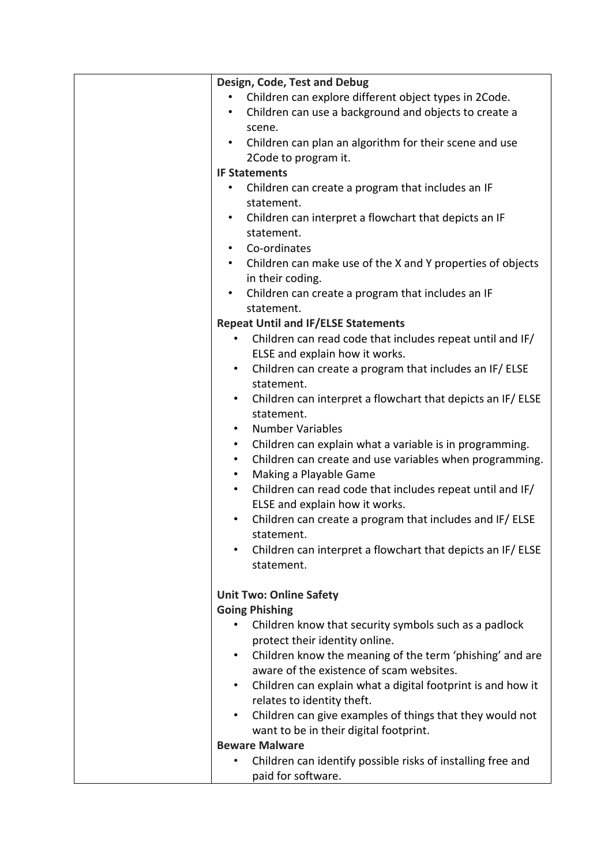| Design, Code, Test and Debug                                             |
|--------------------------------------------------------------------------|
| Children can explore different object types in 2Code.                    |
| Children can use a background and objects to create a                    |
| scene.                                                                   |
| Children can plan an algorithm for their scene and use<br>$\bullet$      |
| 2Code to program it.                                                     |
| <b>IF Statements</b>                                                     |
| Children can create a program that includes an IF                        |
| statement.                                                               |
| Children can interpret a flowchart that depicts an IF                    |
| statement.                                                               |
| Co-ordinates                                                             |
| • Children can make use of the X and Y properties of objects             |
| in their coding.                                                         |
| Children can create a program that includes an IF                        |
| statement.                                                               |
| <b>Repeat Until and IF/ELSE Statements</b>                               |
| Children can read code that includes repeat until and IF/                |
| ELSE and explain how it works.                                           |
| Children can create a program that includes an IF/ELSE<br>$\bullet$      |
| statement.                                                               |
| Children can interpret a flowchart that depicts an IF/ ELSE<br>$\bullet$ |
| statement.                                                               |
| <b>Number Variables</b><br>$\bullet$                                     |
| Children can explain what a variable is in programming.<br>$\bullet$     |
| Children can create and use variables when programming.<br>$\bullet$     |
| Making a Playable Game<br>$\bullet$                                      |
| Children can read code that includes repeat until and IF/<br>$\bullet$   |
| ELSE and explain how it works.                                           |
| Children can create a program that includes and IF/ ELSE<br>$\bullet$    |
| statement.                                                               |
| Children can interpret a flowchart that depicts an IF/ELSE<br>$\bullet$  |
| statement.                                                               |
|                                                                          |
| <b>Unit Two: Online Safety</b>                                           |
| <b>Going Phishing</b>                                                    |
| Children know that security symbols such as a padlock                    |
| protect their identity online.                                           |
| Children know the meaning of the term 'phishing' and are<br>$\bullet$    |
| aware of the existence of scam websites.                                 |
| Children can explain what a digital footprint is and how it<br>$\bullet$ |
| relates to identity theft.                                               |
| Children can give examples of things that they would not<br>$\bullet$    |
| want to be in their digital footprint.                                   |
| <b>Beware Malware</b>                                                    |
| Children can identify possible risks of installing free and<br>$\bullet$ |
| paid for software.                                                       |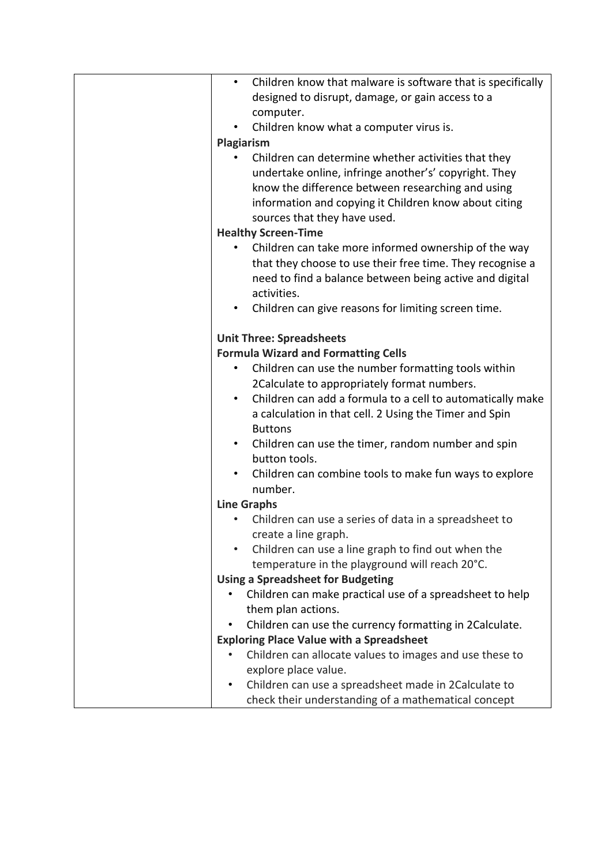| Children know that malware is software that is specifically<br>$\bullet$         |
|----------------------------------------------------------------------------------|
| designed to disrupt, damage, or gain access to a                                 |
| computer.                                                                        |
| Children know what a computer virus is.<br>$\bullet$                             |
| Plagiarism                                                                       |
| Children can determine whether activities that they                              |
| undertake online, infringe another's' copyright. They                            |
| know the difference between researching and using                                |
| information and copying it Children know about citing                            |
| sources that they have used.                                                     |
| <b>Healthy Screen-Time</b>                                                       |
| Children can take more informed ownership of the way<br>$\bullet$                |
| that they choose to use their free time. They recognise a                        |
| need to find a balance between being active and digital                          |
| activities.                                                                      |
| Children can give reasons for limiting screen time.                              |
|                                                                                  |
| <b>Unit Three: Spreadsheets</b>                                                  |
| <b>Formula Wizard and Formatting Cells</b>                                       |
| Children can use the number formatting tools within<br>٠                         |
| 2Calculate to appropriately format numbers.                                      |
| Children can add a formula to a cell to automatically make<br>$\bullet$          |
|                                                                                  |
| a calculation in that cell. 2 Using the Timer and Spin                           |
| <b>Buttons</b>                                                                   |
| Children can use the timer, random number and spin<br>$\bullet$<br>button tools. |
|                                                                                  |
| Children can combine tools to make fun ways to explore<br>number.                |
|                                                                                  |
| <b>Line Graphs</b>                                                               |
| Children can use a series of data in a spreadsheet to                            |
| create a line graph.                                                             |
| Children can use a line graph to find out when the                               |
| temperature in the playground will reach 20°C.                                   |
| <b>Using a Spreadsheet for Budgeting</b>                                         |
| Children can make practical use of a spreadsheet to help                         |
| them plan actions.                                                               |
| Children can use the currency formatting in 2Calculate.                          |
| <b>Exploring Place Value with a Spreadsheet</b>                                  |
| Children can allocate values to images and use these to                          |
| explore place value.                                                             |
| Children can use a spreadsheet made in 2Calculate to<br>٠                        |
| check their understanding of a mathematical concept                              |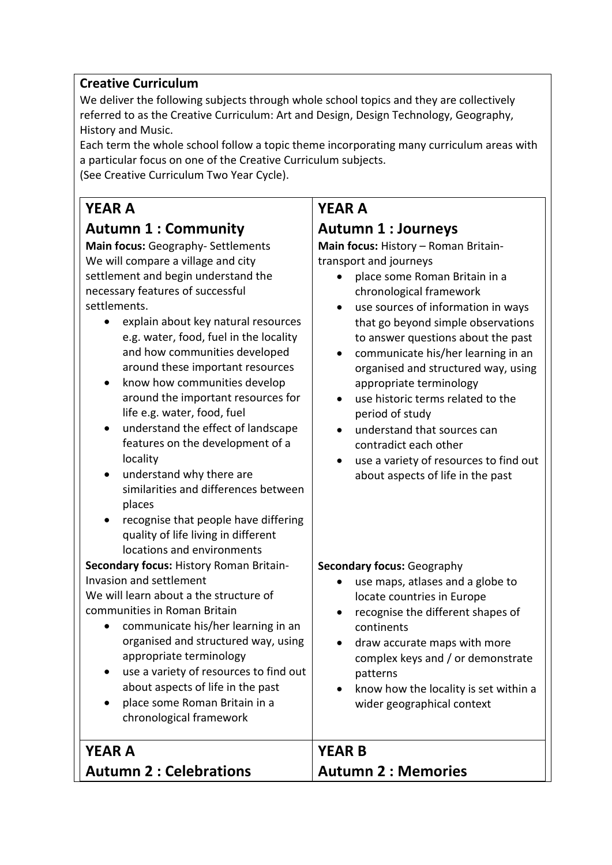#### **Creative Curriculum**

We deliver the following subjects through whole school topics and they are collectively referred to as the Creative Curriculum: Art and Design, Design Technology, Geography, History and Music.

Each term the whole school follow a topic theme incorporating many curriculum areas with a particular focus on one of the Creative Curriculum subjects. (See Creative Curriculum Two Year Cycle).

**YEAR A**

## **Autumn 1 : Community**

**Main focus:** Geography- Settlements We will compare a village and city settlement and begin understand the necessary features of successful settlements.

- explain about key natural resources e.g. water, food, fuel in the locality and how communities developed around these important resources
- know how communities develop around the important resources for life e.g. water, food, fuel
- understand the effect of landscape features on the development of a locality
- understand why there are similarities and differences between places
- recognise that people have differing quality of life living in different locations and environments

**Secondary focus:** History Roman Britain-Invasion and settlement

We will learn about a the structure of communities in Roman Britain

- communicate his/her learning in an organised and structured way, using appropriate terminology
- use a variety of resources to find out about aspects of life in the past
- place some Roman Britain in a chronological framework

### **YEAR A Autumn 2 : Celebrations**

## **YEAR A**

#### **Autumn 1 : Journeys**

**Main focus:** History – Roman Britaintransport and journeys

- place some Roman Britain in a chronological framework
- use sources of information in ways that go beyond simple observations to answer questions about the past
- communicate his/her learning in an organised and structured way, using appropriate terminology
- use historic terms related to the period of study
- understand that sources can contradict each other
- use a variety of resources to find out about aspects of life in the past

#### **Secondary focus:** Geography

- use maps, atlases and a globe to locate countries in Europe
- recognise the different shapes of continents
- draw accurate maps with more complex keys and / or demonstrate patterns
- know how the locality is set within a wider geographical context

**YEAR B Autumn 2 : Memories**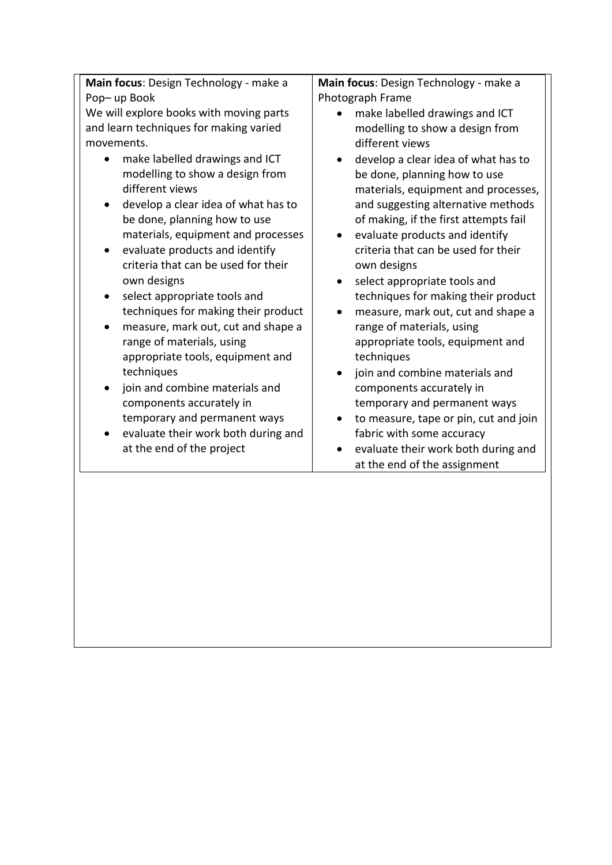**Main focus**: Design Technology - make a Pop– up Book

We will explore books with moving parts and learn techniques for making varied movements.

- make labelled drawings and ICT modelling to show a design from different views
- develop a clear idea of what has to be done, planning how to use materials, equipment and processes
- evaluate products and identify criteria that can be used for their own designs
- select appropriate tools and techniques for making their product
- measure, mark out, cut and shape a range of materials, using appropriate tools, equipment and techniques
- join and combine materials and components accurately in temporary and permanent ways
- evaluate their work both during and at the end of the project

**Main focus**: Design Technology - make a Photograph Frame

- make labelled drawings and ICT modelling to show a design from different views
- develop a clear idea of what has to be done, planning how to use materials, equipment and processes, and suggesting alternative methods of making, if the first attempts fail
- evaluate products and identify criteria that can be used for their own designs
- select appropriate tools and techniques for making their product
- measure, mark out, cut and shape a range of materials, using appropriate tools, equipment and techniques
- join and combine materials and components accurately in temporary and permanent ways
- to measure, tape or pin, cut and join fabric with some accuracy
- evaluate their work both during and at the end of the assignment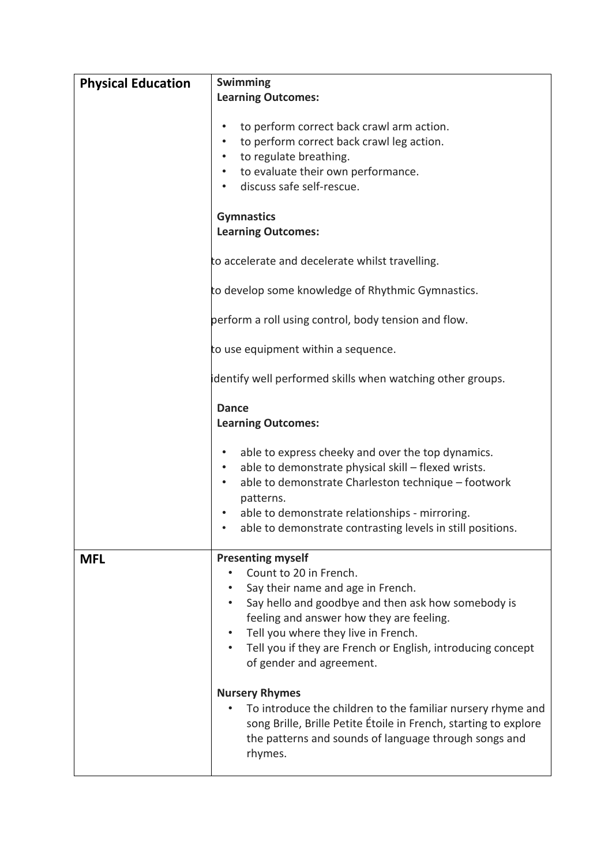| <b>Physical Education</b> | <b>Swimming</b>                                                                                                                                                                                                                                                                                                                          |
|---------------------------|------------------------------------------------------------------------------------------------------------------------------------------------------------------------------------------------------------------------------------------------------------------------------------------------------------------------------------------|
|                           | <b>Learning Outcomes:</b>                                                                                                                                                                                                                                                                                                                |
|                           |                                                                                                                                                                                                                                                                                                                                          |
|                           | to perform correct back crawl arm action.<br>$\bullet$                                                                                                                                                                                                                                                                                   |
|                           | to perform correct back crawl leg action.<br>$\bullet$                                                                                                                                                                                                                                                                                   |
|                           | to regulate breathing.<br>$\bullet$                                                                                                                                                                                                                                                                                                      |
|                           |                                                                                                                                                                                                                                                                                                                                          |
|                           | to evaluate their own performance.<br>$\bullet$                                                                                                                                                                                                                                                                                          |
|                           | discuss safe self-rescue.<br>$\bullet$                                                                                                                                                                                                                                                                                                   |
|                           |                                                                                                                                                                                                                                                                                                                                          |
|                           | <b>Gymnastics</b>                                                                                                                                                                                                                                                                                                                        |
|                           | <b>Learning Outcomes:</b>                                                                                                                                                                                                                                                                                                                |
|                           | to accelerate and decelerate whilst travelling.                                                                                                                                                                                                                                                                                          |
|                           | to develop some knowledge of Rhythmic Gymnastics.                                                                                                                                                                                                                                                                                        |
|                           | perform a roll using control, body tension and flow.                                                                                                                                                                                                                                                                                     |
|                           | to use equipment within a sequence.                                                                                                                                                                                                                                                                                                      |
|                           | identify well performed skills when watching other groups.                                                                                                                                                                                                                                                                               |
|                           | <b>Dance</b><br><b>Learning Outcomes:</b>                                                                                                                                                                                                                                                                                                |
|                           | able to express cheeky and over the top dynamics.<br>٠<br>able to demonstrate physical skill - flexed wrists.<br>$\bullet$<br>able to demonstrate Charleston technique - footwork<br>$\bullet$<br>patterns.<br>able to demonstrate relationships - mirroring.<br>able to demonstrate contrasting levels in still positions.<br>$\bullet$ |
| <b>MFL</b>                | <b>Presenting myself</b>                                                                                                                                                                                                                                                                                                                 |
|                           | Count to 20 in French.                                                                                                                                                                                                                                                                                                                   |
|                           | Say their name and age in French.                                                                                                                                                                                                                                                                                                        |
|                           | Say hello and goodbye and then ask how somebody is                                                                                                                                                                                                                                                                                       |
|                           | feeling and answer how they are feeling.                                                                                                                                                                                                                                                                                                 |
|                           | Tell you where they live in French.                                                                                                                                                                                                                                                                                                      |
|                           | Tell you if they are French or English, introducing concept<br>$\bullet$                                                                                                                                                                                                                                                                 |
|                           | of gender and agreement.                                                                                                                                                                                                                                                                                                                 |
|                           |                                                                                                                                                                                                                                                                                                                                          |
|                           | <b>Nursery Rhymes</b>                                                                                                                                                                                                                                                                                                                    |
|                           | To introduce the children to the familiar nursery rhyme and                                                                                                                                                                                                                                                                              |
|                           | song Brille, Brille Petite Étoile in French, starting to explore                                                                                                                                                                                                                                                                         |
|                           | the patterns and sounds of language through songs and                                                                                                                                                                                                                                                                                    |
|                           | rhymes.                                                                                                                                                                                                                                                                                                                                  |
|                           |                                                                                                                                                                                                                                                                                                                                          |